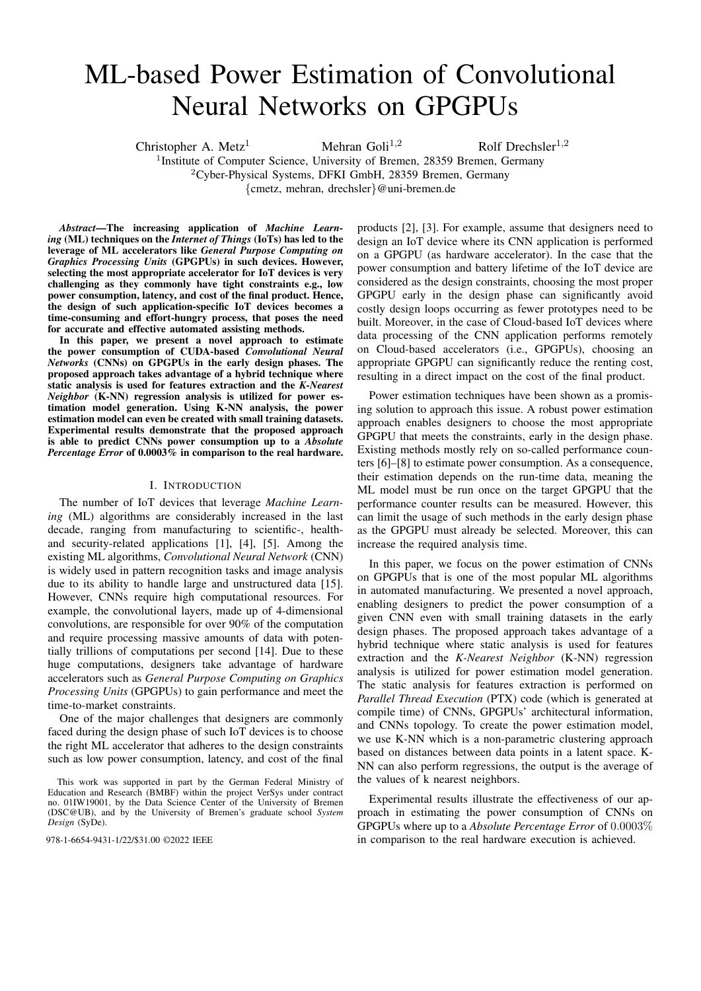# ML-based Power Estimation of Convolutional Neural Networks on GPGPUs

Christopher A. Metz<sup>1</sup> Mehran Goli<sup>1,2</sup> Rolf Drechsler<sup>1,2</sup> <sup>1</sup>Institute of Computer Science, University of Bremen, 28359 Bremen, Germany <sup>2</sup>Cyber-Physical Systems, DFKI GmbH, 28359 Bremen, Germany {cmetz, mehran, drechsler}@uni-bremen.de

*Abstract*—The increasing application of *Machine Learning* (ML) techniques on the *Internet of Things* (IoTs) has led to the leverage of ML accelerators like *General Purpose Computing on Graphics Processing Units* (GPGPUs) in such devices. However, selecting the most appropriate accelerator for IoT devices is very challenging as they commonly have tight constraints e.g., low power consumption, latency, and cost of the final product. Hence, the design of such application-specific IoT devices becomes a time-consuming and effort-hungry process, that poses the need for accurate and effective automated assisting methods.

In this paper, we present a novel approach to estimate the power consumption of CUDA-based *Convolutional Neural Networks* (CNNs) on GPGPUs in the early design phases. The proposed approach takes advantage of a hybrid technique where static analysis is used for features extraction and the *K-Nearest Neighbor* (K-NN) regression analysis is utilized for power estimation model generation. Using K-NN analysis, the power estimation model can even be created with small training datasets. Experimental results demonstrate that the proposed approach is able to predict CNNs power consumption up to a *Absolute Percentage Error* of 0.0003% in comparison to the real hardware.

## I. INTRODUCTION

The number of IoT devices that leverage *Machine Learning* (ML) algorithms are considerably increased in the last decade, ranging from manufacturing to scientific-, healthand security-related applications [1], [4], [5]. Among the existing ML algorithms, *Convolutional Neural Network* (CNN) is widely used in pattern recognition tasks and image analysis due to its ability to handle large and unstructured data [15]. However, CNNs require high computational resources. For example, the convolutional layers, made up of 4-dimensional convolutions, are responsible for over 90% of the computation and require processing massive amounts of data with potentially trillions of computations per second [14]. Due to these huge computations, designers take advantage of hardware accelerators such as *General Purpose Computing on Graphics Processing Units* (GPGPUs) to gain performance and meet the time-to-market constraints.

One of the major challenges that designers are commonly faced during the design phase of such IoT devices is to choose the right ML accelerator that adheres to the design constraints such as low power consumption, latency, and cost of the final

products [2], [3]. For example, assume that designers need to design an IoT device where its CNN application is performed on a GPGPU (as hardware accelerator). In the case that the power consumption and battery lifetime of the IoT device are considered as the design constraints, choosing the most proper GPGPU early in the design phase can significantly avoid costly design loops occurring as fewer prototypes need to be built. Moreover, in the case of Cloud-based IoT devices where data processing of the CNN application performs remotely on Cloud-based accelerators (i.e., GPGPUs), choosing an appropriate GPGPU can significantly reduce the renting cost, resulting in a direct impact on the cost of the final product.

Power estimation techniques have been shown as a promising solution to approach this issue. A robust power estimation approach enables designers to choose the most appropriate GPGPU that meets the constraints, early in the design phase. Existing methods mostly rely on so-called performance counters [6]–[8] to estimate power consumption. As a consequence, their estimation depends on the run-time data, meaning the ML model must be run once on the target GPGPU that the performance counter results can be measured. However, this can limit the usage of such methods in the early design phase as the GPGPU must already be selected. Moreover, this can increase the required analysis time.

In this paper, we focus on the power estimation of CNNs on GPGPUs that is one of the most popular ML algorithms in automated manufacturing. We presented a novel approach, enabling designers to predict the power consumption of a given CNN even with small training datasets in the early design phases. The proposed approach takes advantage of a hybrid technique where static analysis is used for features extraction and the *K-Nearest Neighbor* (K-NN) regression analysis is utilized for power estimation model generation. The static analysis for features extraction is performed on *Parallel Thread Execution* (PTX) code (which is generated at compile time) of CNNs, GPGPUs' architectural information, and CNNs topology. To create the power estimation model, we use K-NN which is a non-parametric clustering approach based on distances between data points in a latent space. K-NN can also perform regressions, the output is the average of the values of k nearest neighbors.

Experimental results illustrate the effectiveness of our approach in estimating the power consumption of CNNs on GPGPUs where up to a *Absolute Percentage Error* of 0.0003% 978-1-6654-9431-1/22/\$31.00 ©2022 IEEE in comparison to the real hardware execution is achieved.

This work was supported in part by the German Federal Ministry of Education and Research (BMBF) within the project VerSys under contract no. 01IW19001, by the Data Science Center of the University of Bremen (DSC@UB), and by the University of Bremen's graduate school *System Design* (SyDe).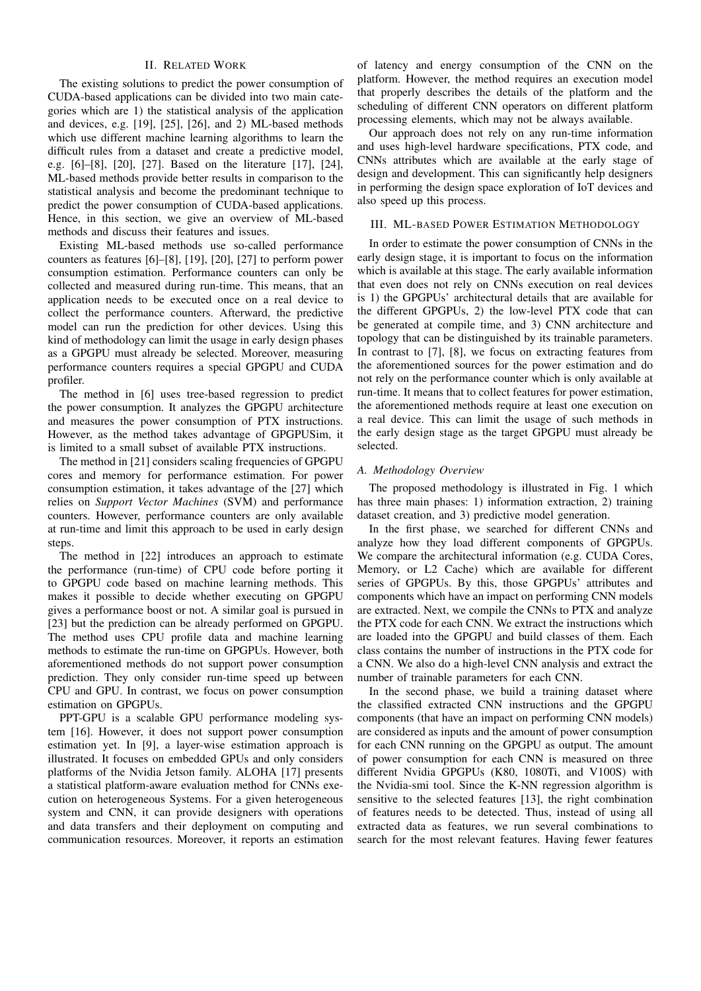# II. RELATED WORK

The existing solutions to predict the power consumption of CUDA-based applications can be divided into two main categories which are 1) the statistical analysis of the application and devices, e.g. [19], [25], [26], and 2) ML-based methods which use different machine learning algorithms to learn the difficult rules from a dataset and create a predictive model, e.g. [6]–[8], [20], [27]. Based on the literature [17], [24], ML-based methods provide better results in comparison to the statistical analysis and become the predominant technique to predict the power consumption of CUDA-based applications. Hence, in this section, we give an overview of ML-based methods and discuss their features and issues.

Existing ML-based methods use so-called performance counters as features [6]–[8], [19], [20], [27] to perform power consumption estimation. Performance counters can only be collected and measured during run-time. This means, that an application needs to be executed once on a real device to collect the performance counters. Afterward, the predictive model can run the prediction for other devices. Using this kind of methodology can limit the usage in early design phases as a GPGPU must already be selected. Moreover, measuring performance counters requires a special GPGPU and CUDA profiler.

The method in [6] uses tree-based regression to predict the power consumption. It analyzes the GPGPU architecture and measures the power consumption of PTX instructions. However, as the method takes advantage of GPGPUSim, it is limited to a small subset of available PTX instructions.

The method in [21] considers scaling frequencies of GPGPU cores and memory for performance estimation. For power consumption estimation, it takes advantage of the [27] which relies on *Support Vector Machines* (SVM) and performance counters. However, performance counters are only available at run-time and limit this approach to be used in early design steps.

The method in [22] introduces an approach to estimate the performance (run-time) of CPU code before porting it to GPGPU code based on machine learning methods. This makes it possible to decide whether executing on GPGPU gives a performance boost or not. A similar goal is pursued in [23] but the prediction can be already performed on GPGPU. The method uses CPU profile data and machine learning methods to estimate the run-time on GPGPUs. However, both aforementioned methods do not support power consumption prediction. They only consider run-time speed up between CPU and GPU. In contrast, we focus on power consumption estimation on GPGPUs.

PPT-GPU is a scalable GPU performance modeling system [16]. However, it does not support power consumption estimation yet. In [9], a layer-wise estimation approach is illustrated. It focuses on embedded GPUs and only considers platforms of the Nvidia Jetson family. ALOHA [17] presents a statistical platform-aware evaluation method for CNNs execution on heterogeneous Systems. For a given heterogeneous system and CNN, it can provide designers with operations and data transfers and their deployment on computing and communication resources. Moreover, it reports an estimation

of latency and energy consumption of the CNN on the platform. However, the method requires an execution model that properly describes the details of the platform and the scheduling of different CNN operators on different platform processing elements, which may not be always available.

Our approach does not rely on any run-time information and uses high-level hardware specifications, PTX code, and CNNs attributes which are available at the early stage of design and development. This can significantly help designers in performing the design space exploration of IoT devices and also speed up this process.

# III. ML-BASED POWER ESTIMATION METHODOLOGY

In order to estimate the power consumption of CNNs in the early design stage, it is important to focus on the information which is available at this stage. The early available information that even does not rely on CNNs execution on real devices is 1) the GPGPUs' architectural details that are available for the different GPGPUs, 2) the low-level PTX code that can be generated at compile time, and 3) CNN architecture and topology that can be distinguished by its trainable parameters. In contrast to [7], [8], we focus on extracting features from the aforementioned sources for the power estimation and do not rely on the performance counter which is only available at run-time. It means that to collect features for power estimation, the aforementioned methods require at least one execution on a real device. This can limit the usage of such methods in the early design stage as the target GPGPU must already be selected.

# *A. Methodology Overview*

The proposed methodology is illustrated in Fig. 1 which has three main phases: 1) information extraction, 2) training dataset creation, and 3) predictive model generation.

In the first phase, we searched for different CNNs and analyze how they load different components of GPGPUs. We compare the architectural information (e.g. CUDA Cores, Memory, or L2 Cache) which are available for different series of GPGPUs. By this, those GPGPUs' attributes and components which have an impact on performing CNN models are extracted. Next, we compile the CNNs to PTX and analyze the PTX code for each CNN. We extract the instructions which are loaded into the GPGPU and build classes of them. Each class contains the number of instructions in the PTX code for a CNN. We also do a high-level CNN analysis and extract the number of trainable parameters for each CNN.

In the second phase, we build a training dataset where the classified extracted CNN instructions and the GPGPU components (that have an impact on performing CNN models) are considered as inputs and the amount of power consumption for each CNN running on the GPGPU as output. The amount of power consumption for each CNN is measured on three different Nvidia GPGPUs (K80, 1080Ti, and V100S) with the Nvidia-smi tool. Since the K-NN regression algorithm is sensitive to the selected features [13], the right combination of features needs to be detected. Thus, instead of using all extracted data as features, we run several combinations to search for the most relevant features. Having fewer features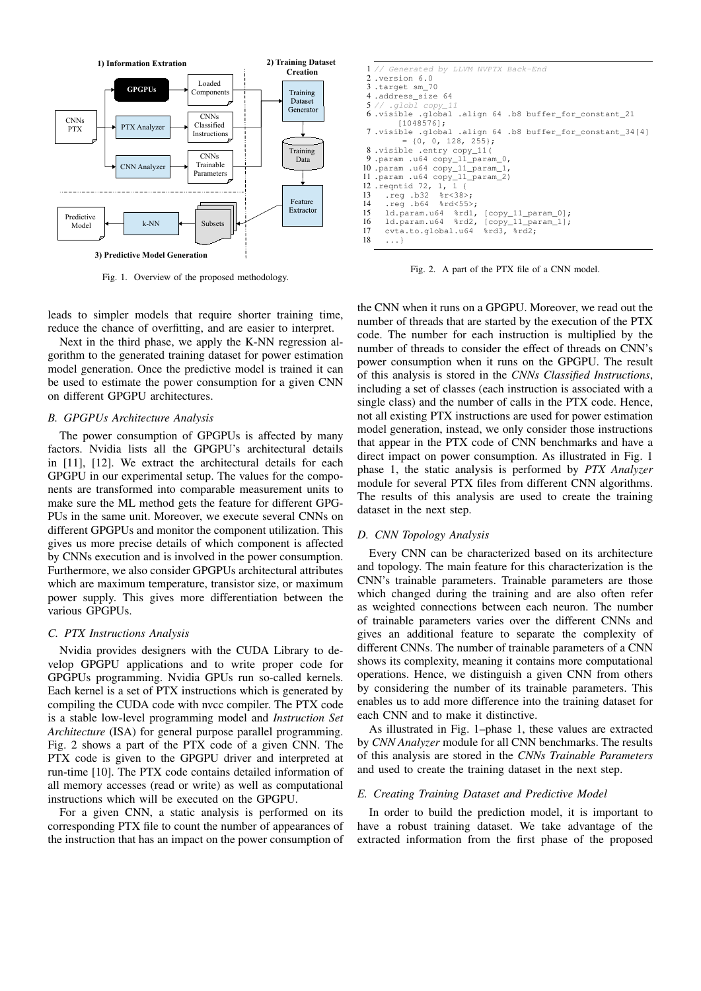

Fig. 1. Overview of the proposed methodology.

leads to simpler models that require shorter training time, reduce the chance of overfitting, and are easier to interpret.

Next in the third phase, we apply the K-NN regression algorithm to the generated training dataset for power estimation model generation. Once the predictive model is trained it can be used to estimate the power consumption for a given CNN on different GPGPU architectures.

## *B. GPGPUs Architecture Analysis*

The power consumption of GPGPUs is affected by many factors. Nvidia lists all the GPGPU's architectural details in [11], [12]. We extract the architectural details for each GPGPU in our experimental setup. The values for the components are transformed into comparable measurement units to make sure the ML method gets the feature for different GPG-PUs in the same unit. Moreover, we execute several CNNs on different GPGPUs and monitor the component utilization. This gives us more precise details of which component is affected by CNNs execution and is involved in the power consumption. Furthermore, we also consider GPGPUs architectural attributes which are maximum temperature, transistor size, or maximum power supply. This gives more differentiation between the various GPGPUs.

#### *C. PTX Instructions Analysis*

Nvidia provides designers with the CUDA Library to develop GPGPU applications and to write proper code for GPGPUs programming. Nvidia GPUs run so-called kernels. Each kernel is a set of PTX instructions which is generated by compiling the CUDA code with nvcc compiler. The PTX code is a stable low-level programming model and *Instruction Set Architecture* (ISA) for general purpose parallel programming. Fig. 2 shows a part of the PTX code of a given CNN. The PTX code is given to the GPGPU driver and interpreted at run-time [10]. The PTX code contains detailed information of all memory accesses (read or write) as well as computational instructions which will be executed on the GPGPU.

For a given CNN, a static analysis is performed on its corresponding PTX file to count the number of appearances of the instruction that has an impact on the power consumption of

```
1 // Generated by LLVM NVPTX Back-End
 2 .version 6.0
 3 .target sm_70
 4.address_size 64obl c6 .visible .global .align 64 .b8 buffer_for_constant_21
[1048576];
 7 .visible .global .align 64 .b8 buffer_for_constant_34[4]
          = \{0, 0, 128, 255\};
 8 .visible .entry copy_11(
  .param .u64 copy_11_param_0,
10 .param .u64 copy_11_param_1,
11 .param .u64 copy_11_param_2)
12 .reqntid 72, 1, 1 {
13 .reg .b32 %r<38>;
14 .reg .b64 %rd<55>;<br>15 1d.param.u64 %rd1.
     1d.param.u64 %rd1, [copy_11_param_0];
16 1d.param.u64 %rd2, [copy_11_param_1];<br>17 cvta.to.global.u64 %rd3, %rd2;
17 cvta.to.global.u64
     18 ...}
```
Fig. 2. A part of the PTX file of a CNN model.

the CNN when it runs on a GPGPU. Moreover, we read out the number of threads that are started by the execution of the PTX code. The number for each instruction is multiplied by the number of threads to consider the effect of threads on CNN's power consumption when it runs on the GPGPU. The result of this analysis is stored in the *CNNs Classified Instructions*, including a set of classes (each instruction is associated with a single class) and the number of calls in the PTX code. Hence, not all existing PTX instructions are used for power estimation model generation, instead, we only consider those instructions that appear in the PTX code of CNN benchmarks and have a direct impact on power consumption. As illustrated in Fig. 1 phase 1, the static analysis is performed by *PTX Analyzer* module for several PTX files from different CNN algorithms. The results of this analysis are used to create the training dataset in the next step.

## *D. CNN Topology Analysis*

Every CNN can be characterized based on its architecture and topology. The main feature for this characterization is the CNN's trainable parameters. Trainable parameters are those which changed during the training and are also often refer as weighted connections between each neuron. The number of trainable parameters varies over the different CNNs and gives an additional feature to separate the complexity of different CNNs. The number of trainable parameters of a CNN shows its complexity, meaning it contains more computational operations. Hence, we distinguish a given CNN from others by considering the number of its trainable parameters. This enables us to add more difference into the training dataset for each CNN and to make it distinctive.

As illustrated in Fig. 1–phase 1, these values are extracted by *CNN Analyzer* module for all CNN benchmarks. The results of this analysis are stored in the *CNNs Trainable Parameters* and used to create the training dataset in the next step.

#### *E. Creating Training Dataset and Predictive Model*

In order to build the prediction model, it is important to have a robust training dataset. We take advantage of the extracted information from the first phase of the proposed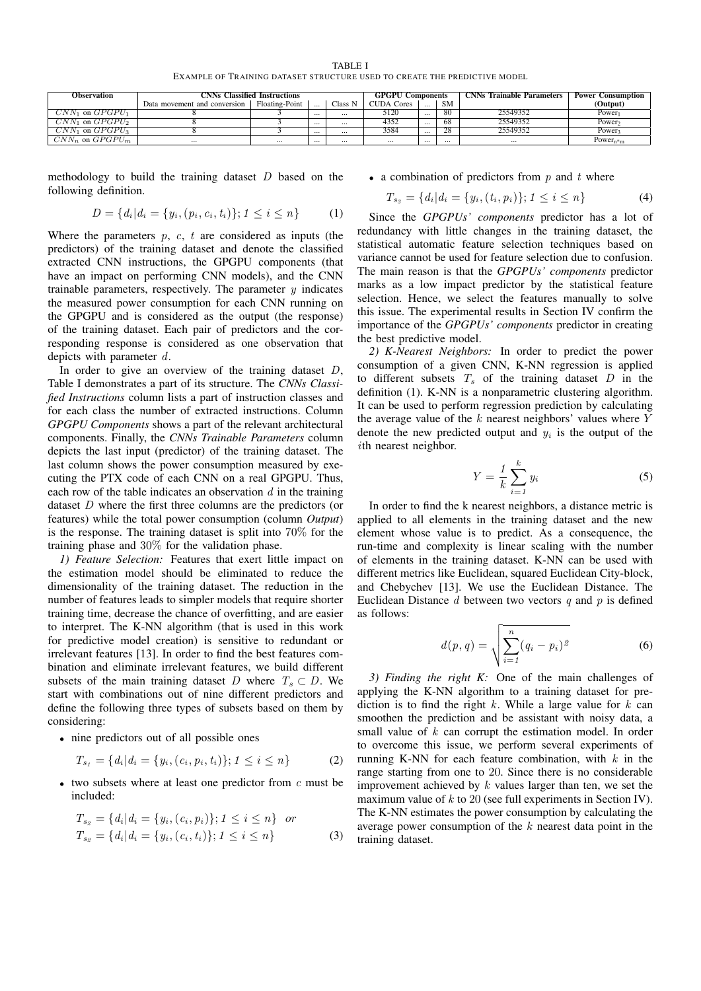TABLE I EXAMPLE OF TRAINING DATASET STRUCTURE USED TO CREATE THE PREDICTIVE MODEL

| Observation          | <b>CNNs Classified Instructions</b> |                |          |          | <b>GPGPU Components</b> |          |                | <b>CNNs</b> Trainable Parameters | Power<br>• Consumption - |
|----------------------|-------------------------------------|----------------|----------|----------|-------------------------|----------|----------------|----------------------------------|--------------------------|
|                      | Data movement and conversion        | Floating-Point |          | Class N  | <b>CUDA Cores</b>       | $\cdots$ | <b>SM</b>      |                                  | (Output)                 |
| $CNN_1$ on $GPGPU_1$ |                                     |                | $\cdots$ | $\cdots$ | 5120                    | $\cdots$ | 80             | 25549352                         | Power <sub>1</sub>       |
| $CNN_1$ on $GPGPU_2$ |                                     |                | $\cdots$ | $\cdots$ | 4352                    | $\cdots$ | 68             | 25549352                         | Power <sub>2</sub>       |
| $CNN_1$ on $GPGPU_3$ |                                     |                | $\cdots$ |          | 3584                    | $\cdots$ | $\overline{0}$ | 25549352                         | Power <sub>3</sub>       |
| $CNN_n$ on $GPGPU_m$ | $\cdots$                            | $\cdots$       | $\cdots$ | $\cdots$ | $\cdots$                | $\cdots$ | $\cdots$       | $\cdots$                         | Power <sub>n*m</sub>     |

methodology to build the training dataset  $D$  based on the following definition.

$$
D = \{d_i | d_i = \{y_i, (p_i, c_i, t_i)\}; 1 \le i \le n\}
$$
 (1)

Where the parameters  $p, c, t$  are considered as inputs (the predictors) of the training dataset and denote the classified extracted CNN instructions, the GPGPU components (that have an impact on performing CNN models), and the CNN trainable parameters, respectively. The parameter  $y$  indicates the measured power consumption for each CNN running on the GPGPU and is considered as the output (the response) of the training dataset. Each pair of predictors and the corresponding response is considered as one observation that depicts with parameter d.

In order to give an overview of the training dataset  $D$ , Table I demonstrates a part of its structure. The *CNNs Classified Instructions* column lists a part of instruction classes and for each class the number of extracted instructions. Column *GPGPU Components* shows a part of the relevant architectural components. Finally, the *CNNs Trainable Parameters* column depicts the last input (predictor) of the training dataset. The last column shows the power consumption measured by executing the PTX code of each CNN on a real GPGPU. Thus, each row of the table indicates an observation  $d$  in the training dataset D where the first three columns are the predictors (or features) while the total power consumption (column *Output*) is the response. The training dataset is split into 70% for the training phase and 30% for the validation phase.

*1) Feature Selection:* Features that exert little impact on the estimation model should be eliminated to reduce the dimensionality of the training dataset. The reduction in the number of features leads to simpler models that require shorter training time, decrease the chance of overfitting, and are easier to interpret. The K-NN algorithm (that is used in this work for predictive model creation) is sensitive to redundant or irrelevant features [13]. In order to find the best features combination and eliminate irrelevant features, we build different subsets of the main training dataset D where  $T_s \subset D$ . We start with combinations out of nine different predictors and define the following three types of subsets based on them by considering:

• nine predictors out of all possible ones

$$
T_{s_1} = \{d_i | d_i = \{y_i, (c_i, p_i, t_i)\}; 1 \le i \le n\}
$$
 (2)

• two subsets where at least one predictor from  $c$  must be included:

$$
T_{s_2} = \{d_i | d_i = \{y_i, (c_i, p_i)\}; 1 \le i \le n\} \quad \text{or}
$$
\n
$$
T_{s_2} = \{d_i | d_i = \{y_i, (c_i, t_i)\}; 1 \le i \le n\}
$$
\n(3)

### • a combination of predictors from  $p$  and  $t$  where

$$
T_{s_3} = \{d_i | d_i = \{y_i, (t_i, p_i)\}; 1 \le i \le n\}
$$
 (4)

Since the *GPGPUs' components* predictor has a lot of redundancy with little changes in the training dataset, the statistical automatic feature selection techniques based on variance cannot be used for feature selection due to confusion. The main reason is that the *GPGPUs' components* predictor marks as a low impact predictor by the statistical feature selection. Hence, we select the features manually to solve this issue. The experimental results in Section IV confirm the importance of the *GPGPUs' components* predictor in creating the best predictive model.

*2) K-Nearest Neighbors:* In order to predict the power consumption of a given CNN, K-NN regression is applied to different subsets  $T_s$  of the training dataset  $D$  in the definition (1). K-NN is a nonparametric clustering algorithm. It can be used to perform regression prediction by calculating the average value of the  $k$  nearest neighbors' values where  $Y$ denote the new predicted output and  $y_i$  is the output of the ith nearest neighbor.

$$
Y = \frac{1}{k} \sum_{i=1}^{k} y_i
$$
 (5)

In order to find the k nearest neighbors, a distance metric is applied to all elements in the training dataset and the new element whose value is to predict. As a consequence, the run-time and complexity is linear scaling with the number of elements in the training dataset. K-NN can be used with different metrics like Euclidean, squared Euclidean City-block, and Chebychev [13]. We use the Euclidean Distance. The Euclidean Distance  $d$  between two vectors  $q$  and  $p$  is defined as follows:

$$
d(p,q) = \sqrt{\sum_{i=1}^{n} (q_i - p_i)^2}
$$
 (6)

*3) Finding the right K:* One of the main challenges of applying the K-NN algorithm to a training dataset for prediction is to find the right  $k$ . While a large value for  $k$  can smoothen the prediction and be assistant with noisy data, a small value of k can corrupt the estimation model. In order to overcome this issue, we perform several experiments of running K-NN for each feature combination, with  $k$  in the range starting from one to 20. Since there is no considerable improvement achieved by  $k$  values larger than ten, we set the maximum value of  $k$  to 20 (see full experiments in Section IV). The K-NN estimates the power consumption by calculating the average power consumption of the  $k$  nearest data point in the training dataset.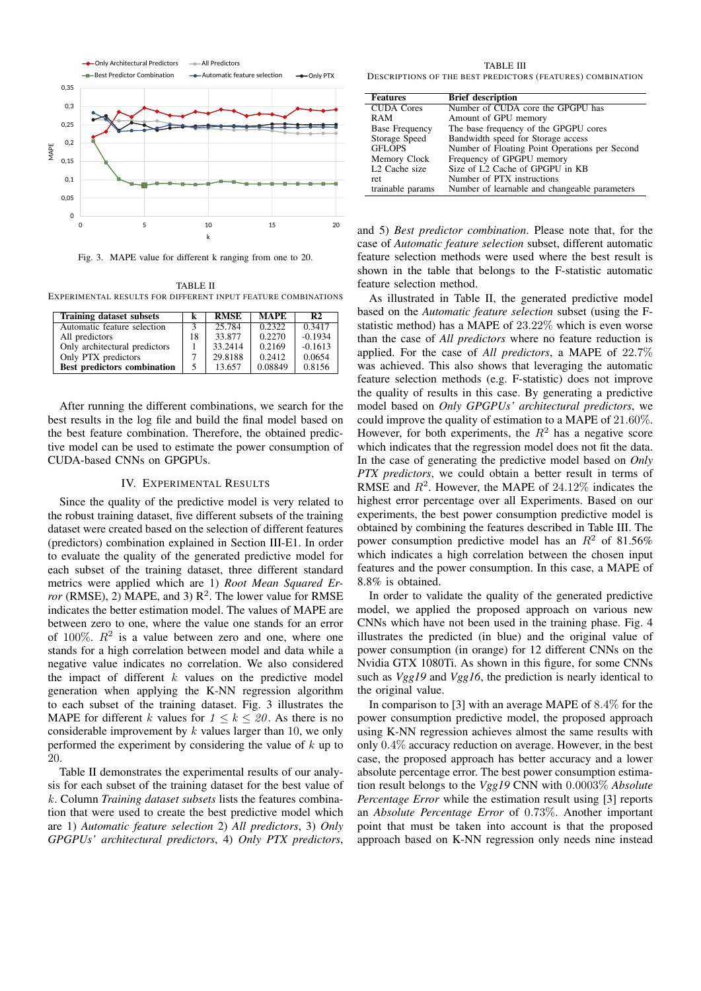

Fig. 3. MAPE value for different k ranging from one to 20.

TABLE II EXPERIMENTAL RESULTS FOR DIFFERENT INPUT FEATURE COMBINATIONS

| <b>Training dataset subsets</b>    |  | <b>RMSE</b> | <b>MAPE</b> | R <sub>2</sub> |
|------------------------------------|--|-------------|-------------|----------------|
| Automatic feature selection        |  | 25.784      | 0.2322      | 0.3417         |
| All predictors                     |  | 33.877      | 0.2270      | $-0.1934$      |
| Only architectural predictors      |  | 33.2414     | 0.2169      | $-0.1613$      |
| Only PTX predictors                |  | 29.8188     | 0.2412      | 0.0654         |
| <b>Best predictors combination</b> |  | 13.657      | 0.08849     | 0.8156         |

After running the different combinations, we search for the best results in the log file and build the final model based on the best feature combination. Therefore, the obtained predictive model can be used to estimate the power consumption of CUDA-based CNNs on GPGPUs.

## IV. EXPERIMENTAL RESULTS

Since the quality of the predictive model is very related to the robust training dataset, five different subsets of the training dataset were created based on the selection of different features (predictors) combination explained in Section III-E1. In order to evaluate the quality of the generated predictive model for each subset of the training dataset, three different standard metrics were applied which are 1) *Root Mean Squared Error* (RMSE), 2) MAPE, and 3)  $R^2$ . The lower value for RMSE indicates the better estimation model. The values of MAPE are between zero to one, where the value one stands for an error of 100%.  $R^2$  is a value between zero and one, where one stands for a high correlation between model and data while a negative value indicates no correlation. We also considered the impact of different  $k$  values on the predictive model generation when applying the K-NN regression algorithm to each subset of the training dataset. Fig. 3 illustrates the MAPE for different k values for  $1 \leq k \leq 20$ . As there is no considerable improvement by  $k$  values larger than 10, we only performed the experiment by considering the value of  $k$  up to 20.

Table II demonstrates the experimental results of our analysis for each subset of the training dataset for the best value of k. Column *Training dataset subsets* lists the features combination that were used to create the best predictive model which are 1) *Automatic feature selection* 2) *All predictors*, 3) *Only GPGPUs' architectural predictors*, 4) *Only PTX predictors*,

TABLE III DESCRIPTIONS OF THE BEST PREDICTORS (FEATURES) COMBINATION

| <b>Features</b>           | <b>Brief description</b>                       |
|---------------------------|------------------------------------------------|
| <b>CUDA</b> Cores         | Number of CUDA core the GPGPU has              |
| RAM                       | Amount of GPU memory                           |
| <b>Base Frequency</b>     | The base frequency of the GPGPU cores          |
| Storage Speed             | Bandwidth speed for Storage access             |
| <b>GFLOPS</b>             | Number of Floating Point Operations per Second |
| Memory Clock              | Frequency of GPGPU memory                      |
| L <sub>2</sub> Cache size | Size of L2 Cache of GPGPU in KB                |
| ret                       | Number of PTX instructions                     |
| trainable params          | Number of learnable and changeable parameters  |

and 5) *Best predictor combination*. Please note that, for the case of *Automatic feature selection* subset, different automatic feature selection methods were used where the best result is shown in the table that belongs to the F-statistic automatic feature selection method.

As illustrated in Table II, the generated predictive model based on the *Automatic feature selection* subset (using the Fstatistic method) has a MAPE of 23.22% which is even worse than the case of *All predictors* where no feature reduction is applied. For the case of *All predictors*, a MAPE of 22.7% was achieved. This also shows that leveraging the automatic feature selection methods (e.g. F-statistic) does not improve the quality of results in this case. By generating a predictive model based on *Only GPGPUs' architectural predictors*, we could improve the quality of estimation to a MAPE of 21.60%. However, for both experiments, the  $R^2$  has a negative score which indicates that the regression model does not fit the data. In the case of generating the predictive model based on *Only PTX predictors*, we could obtain a better result in terms of RMSE and  $R^2$ . However, the MAPE of 24.12% indicates the highest error percentage over all Experiments. Based on our experiments, the best power consumption predictive model is obtained by combining the features described in Table III. The power consumption predictive model has an  $R^2$  of 81.56% which indicates a high correlation between the chosen input features and the power consumption. In this case, a MAPE of 8.8% is obtained.

In order to validate the quality of the generated predictive model, we applied the proposed approach on various new CNNs which have not been used in the training phase. Fig. 4 illustrates the predicted (in blue) and the original value of power consumption (in orange) for 12 different CNNs on the Nvidia GTX 1080Ti. As shown in this figure, for some CNNs such as *Vgg19* and *Vgg16*, the prediction is nearly identical to the original value.

In comparison to [3] with an average MAPE of 8.4% for the power consumption predictive model, the proposed approach using K-NN regression achieves almost the same results with only 0.4% accuracy reduction on average. However, in the best case, the proposed approach has better accuracy and a lower absolute percentage error. The best power consumption estimation result belongs to the *Vgg19* CNN with 0.0003% *Absolute Percentage Error* while the estimation result using [3] reports an *Absolute Percentage Error* of 0.73%. Another important point that must be taken into account is that the proposed approach based on K-NN regression only needs nine instead